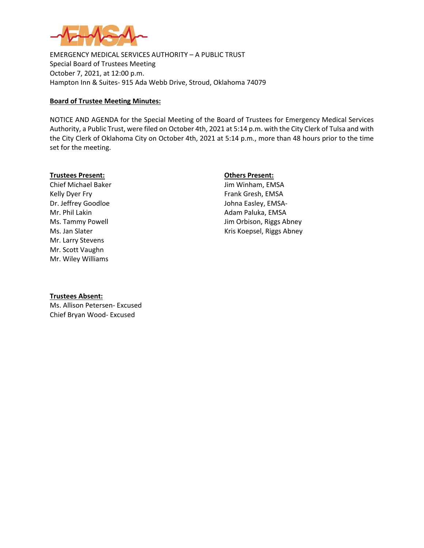

EMERGENCY MEDICAL SERVICES AUTHORITY – A PUBLIC TRUST Special Board of Trustees Meeting October 7, 2021, at 12:00 p.m. Hampton Inn & Suites- 915 Ada Webb Drive, Stroud, Oklahoma 74079

## **Board of Trustee Meeting Minutes:**

NOTICE AND AGENDA for the Special Meeting of the Board of Trustees for Emergency Medical Services Authority, a Public Trust, were filed on October 4th, 2021 at 5:14 p.m. with the City Clerk of Tulsa and with the City Clerk of Oklahoma City on October 4th, 2021 at 5:14 p.m., more than 48 hours prior to the time set for the meeting.

### **Trustees Present: Others Present:**

Kelly Dyer Fry **Frank Gresh, EMSA** Dr. Jeffrey Goodloe Johna Easley, EMSA-Mr. Phil Lakin **Adam Paluka**, EMSA Mr. Larry Stevens Mr. Scott Vaughn Mr. Wiley Williams

Chief Michael Baker **Jim Winham, EMSA** Ms. Tammy Powell **Michael Accord Contract Contract Contract Contract Contract Contract Contract Contract Contract Contract Contract Contract Contract Contract Contract Contract Contract Contract Contract Contract Contract** Ms. Jan Slater **Mater** Controller Material Controller Material Controller Kris Koepsel, Riggs Abney

### **Trustees Absent:**

Ms. Allison Petersen- Excused Chief Bryan Wood- Excused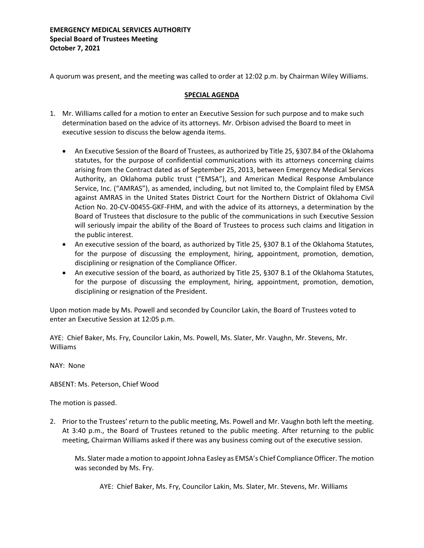A quorum was present, and the meeting was called to order at 12:02 p.m. by Chairman Wiley Williams.

# **SPECIAL AGENDA**

- 1. Mr. Williams called for a motion to enter an Executive Session for such purpose and to make such determination based on the advice of its attorneys. Mr. Orbison advised the Board to meet in executive session to discuss the below agenda items.
	- An Executive Session of the Board of Trustees, as authorized by Title 25, §307.B4 of the Oklahoma statutes, for the purpose of confidential communications with its attorneys concerning claims arising from the Contract dated as of September 25, 2013, between Emergency Medical Services Authority, an Oklahoma public trust ("EMSA"), and American Medical Response Ambulance Service, Inc. ("AMRAS"), as amended, including, but not limited to, the Complaint filed by EMSA against AMRAS in the United States District Court for the Northern District of Oklahoma Civil Action No. 20-CV-00455-GKF-FHM, and with the advice of its attorneys, a determination by the Board of Trustees that disclosure to the public of the communications in such Executive Session will seriously impair the ability of the Board of Trustees to process such claims and litigation in the public interest.
	- An executive session of the board, as authorized by Title 25, §307 B.1 of the Oklahoma Statutes, for the purpose of discussing the employment, hiring, appointment, promotion, demotion, disciplining or resignation of the Compliance Officer.
	- An executive session of the board, as authorized by Title 25, §307 B.1 of the Oklahoma Statutes, for the purpose of discussing the employment, hiring, appointment, promotion, demotion, disciplining or resignation of the President.

Upon motion made by Ms. Powell and seconded by Councilor Lakin, the Board of Trustees voted to enter an Executive Session at 12:05 p.m.

AYE: Chief Baker, Ms. Fry, Councilor Lakin, Ms. Powell, Ms. Slater, Mr. Vaughn, Mr. Stevens, Mr. Williams

NAY: None

ABSENT: Ms. Peterson, Chief Wood

The motion is passed.

2. Prior to the Trustees' return to the public meeting, Ms. Powell and Mr. Vaughn both left the meeting. At 3:40 p.m., the Board of Trustees retuned to the public meeting. After returning to the public meeting, Chairman Williams asked if there was any business coming out of the executive session.

Ms. Slater made a motion to appoint Johna Easley as EMSA's Chief Compliance Officer. The motion was seconded by Ms. Fry.

AYE: Chief Baker, Ms. Fry, Councilor Lakin, Ms. Slater, Mr. Stevens, Mr. Williams